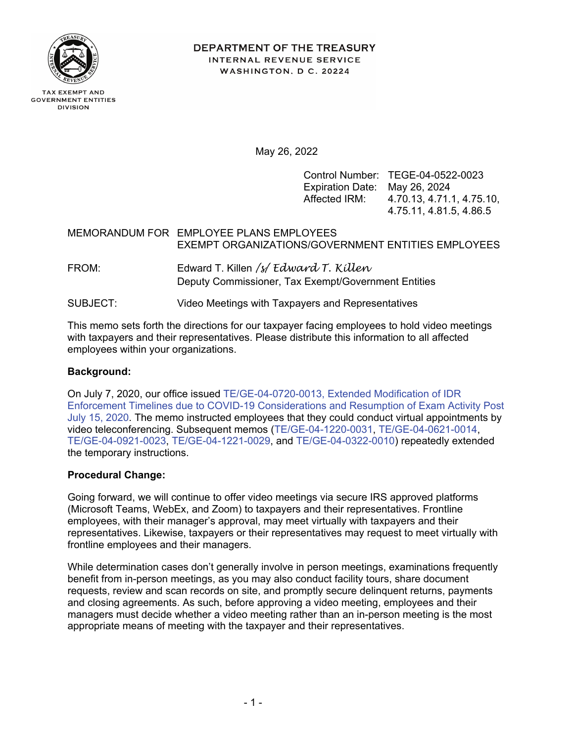

**TAX EXEMPT AND GOVERNMENT ENTITIES DIVISION** 

**DEPARTMENT OF THE TREASURY** INTERNAL REVENUE SERVICE WASHINGTON, D C. 20224

May 26, 2022

Control Number: TEGE-04-0522-0023 Expiration Date: May 26, 2024 Affected IRM: 4.70.13, 4.71.1, 4.75.10, 4.75.11, 4.81.5, 4.86.5

# MEMORANDUM FOR EMPLOYEE PLANS EMPLOYEES EXEMPT ORGANIZATIONS/GOVERNMENT ENTITIES EMPLOYEES

- FROM: Edward T. Killen */s/ Edward T. Killen* Deputy Commissioner, Tax Exempt/Government Entities
- SUBJECT: Video Meetings with Taxpayers and Representatives

This memo sets forth the directions for our taxpayer facing employees to hold video meetings with taxpayers and their representatives. Please distribute this information to all affected employees within your organizations.

## **Background:**

On July 7, 2020, our office issued [TE/GE-04-0720-0013, Extended Modification of IDR](http://imdtrack.web.irs.gov/IG_Uploads/IRS.gov_Yes/OUO_No/tege-04-0720-0013.pdf)  [Enforcement Timelines due to COVID-19 Considerations and Resumption of Exam Activity Post](http://imdtrack.web.irs.gov/IG_Uploads/IRS.gov_Yes/OUO_No/tege-04-0720-0013.pdf)  [July 15, 2020.](http://imdtrack.web.irs.gov/IG_Uploads/IRS.gov_Yes/OUO_No/tege-04-0720-0013.pdf) The memo instructed employees that they could conduct virtual appointments by video teleconferencing. Subsequent memos [\(TE/GE-04-1220-0031,](http://imdtrack.web.irs.gov/IG_Uploads/IRS.gov_Yes/OUO_No/tege-04-1220-0031.pdf) [TE/GE-04-0621-0014,](http://imdtrack.web.irs.gov/IG_Uploads/IRS.gov_Yes/OUO_No/tege-04-0621-0014.pdf) [TE/GE-04-0921-0023,](http://imdtrack.web.irs.gov/IG_Uploads/IRS.gov_Yes/OUO_No/tege-04-0921-0023.pdf) [TE/GE-04-1221-0029,](http://imdtrack.web.irs.gov/IG_Uploads/IRS.gov_Yes/OUO_No/tege-04-1221-0029.pdf) and [TE/GE-04-0322-0010\)](http://imdtrack.web.irs.gov/IG_Uploads/IRS.gov_Yes/OUO_No/tege-04-0322-0010.pdf) repeatedly extended the temporary instructions.

### **Procedural Change:**

Going forward, we will continue to offer video meetings via secure IRS approved platforms (Microsoft Teams, WebEx, and Zoom) to taxpayers and their representatives. Frontline employees, with their manager's approval, may meet virtually with taxpayers and their representatives. Likewise, taxpayers or their representatives may request to meet virtually with frontline employees and their managers.

While determination cases don't generally involve in person meetings, examinations frequently benefit from in-person meetings, as you may also conduct facility tours, share document requests, review and scan records on site, and promptly secure delinquent returns, payments and closing agreements. As such, before approving a video meeting, employees and their managers must decide whether a video meeting rather than an in-person meeting is the most appropriate means of meeting with the taxpayer and their representatives.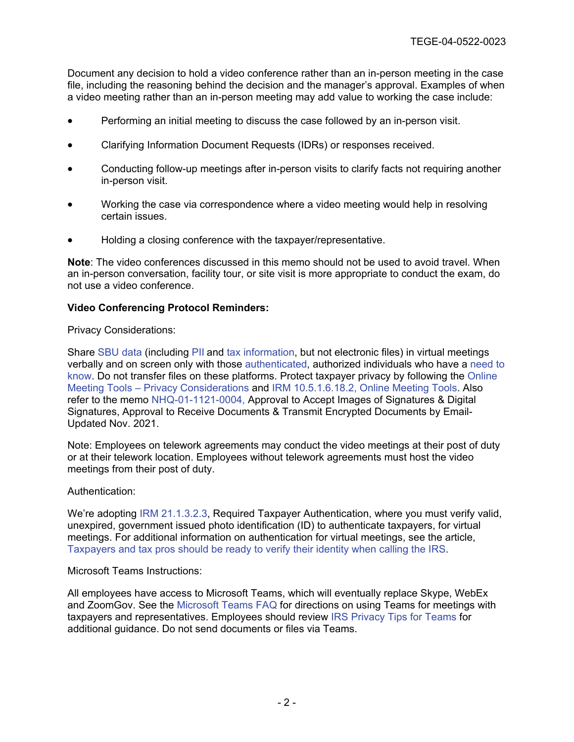Document any decision to hold a video conference rather than an in-person meeting in the case file, including the reasoning behind the decision and the manager's approval. Examples of when a video meeting rather than an in-person meeting may add value to working the case include:

- Performing an initial meeting to discuss the case followed by an in-person visit.
- Clarifying Information Document Requests (IDRs) or responses received.
- Conducting follow-up meetings after in-person visits to clarify facts not requiring another in-person visit.
- Working the case via correspondence where a video meeting would help in resolving certain issues.
- Holding a closing conference with the taxpayer/representative.

**Note**: The video conferences discussed in this memo should not be used to avoid travel. When an in-person conversation, facility tour, or site visit is more appropriate to conduct the exam, do not use a video conference.

### **Video Conferencing Protocol Reminders:**

Privacy Considerations:

Share [SBU data](http://irm.web.irs.gov/link.asp?link=10.5.1.2.2) (including [PII](http://irm.web.irs.gov/link.asp?link=10.5.1.2.3) [a](http://irm.web.irs.gov/link.asp?link=10.5.1.2.3)nd [tax information,](http://irm.web.irs.gov/link.asp?link=10.5.1.2.4) but not electronic files) in virtual meetings verbally and on screen only with those [authenticated,](#page-1-0) authorized individuals who have a [need to](http://irm.web.irs.gov/link.asp?link=10.5.1.2.8)  [know.](http://irm.web.irs.gov/link.asp?link=10.5.1.2.8) Do not transfer files on these platforms. Protect taxpayer privacy by following the [Online](https://portal.ds.irsnet.gov/sites/vl003/Lists/PrivacyPolicyPrivacyControls/DispItemForm.aspx?ID=44&Source=https%3A%2F%2Fportal%2Eds%2Eirsnet%2Egov%2Fsites%2Fvl003%2Flists%2Fprivacypolicyprivacycontrols%2Femail%2520and%2520data%2520in%2520transit%2Easpx&ContentTypeId=0x0100C4FCD3C7F733EA4A8C2E8A2705E8C2DB007E49FAF950ECD646B04923D4CA0A82C4)  Meeting Tools – [Privacy Considerations](https://portal.ds.irsnet.gov/sites/vl003/Lists/PrivacyPolicyPrivacyControls/DispItemForm.aspx?ID=44&Source=https%3A%2F%2Fportal%2Eds%2Eirsnet%2Egov%2Fsites%2Fvl003%2Flists%2Fprivacypolicyprivacycontrols%2Femail%2520and%2520data%2520in%2520transit%2Easpx&ContentTypeId=0x0100C4FCD3C7F733EA4A8C2E8A2705E8C2DB007E49FAF950ECD646B04923D4CA0A82C4) and [IRM 10.5.1.6.18.2, Online Meeting Tools.](http://irm.web.irs.gov/link.asp?link=10.5.1.6.18.2) Also refer to the memo [NHQ-01-1121-0004, Approval to Accept Images of Signatures & Digital](http://imdtrack.web.irs.gov/IG_Uploads/IRS.gov_Yes/OUO_No/NHQ-01-1121-0004.pdf)  [Signatures, Approval to Receive Documents & Transmit Encrypted Documents by Email-](http://imdtrack.web.irs.gov/IG_Uploads/IRS.gov_Yes/OUO_No/NHQ-01-1121-0004.pdf)[Updated Nov. 2021.](http://imdtrack.web.irs.gov/IG_Uploads/IRS.gov_Yes/OUO_No/NHQ-01-1121-0004.pdf)

Note: Employees on telework agreements may conduct the video meetings at their post of duty or at their telework location. Employees without telework agreements must host the video meetings from their post of duty.

#### <span id="page-1-0"></span>Authentication:

We're adopting [IRM 21.1.3.2.3,](http://irm.web.irs.gov/link.asp?link=21.1.3.2.3) Required Taxpayer Authentication, where you must verify valid, unexpired, government issued photo identification (ID) to authenticate taxpayers, for virtual meetings. For additional information on authentication for virtual meetings, see the article, [Taxpayers and tax pros should be ready to verify their identity when calling the IRS.](https://www.irs.gov/newsroom/taxpayers-and-tax-pros-should-be-ready-to-verify-their-identity-when-calling-the-irs)

Microsoft Teams Instructions:

All employees have access to Microsoft Teams, which will eventually replace Skype, WebEx and ZoomGov. See the [Microsoft Teams FAQ](https://organization.ds.irsnet.gov/sites/UNSM365/Teams/Shared%20Documents/Microsoft%20Teams%20FAQ.pdf) for directions on using Teams for meetings with taxpayers and representatives. Employees should review [IRS Privacy Tips for Teams](https://organization.ds.irsnet.gov/sites/UNSM365/Teams/Shared%20Documents/MICROSOFT%20TEAMS%20-%20IRS%20Privacy%20Tips.pdf) for additional guidance. Do not send documents or files via Teams.